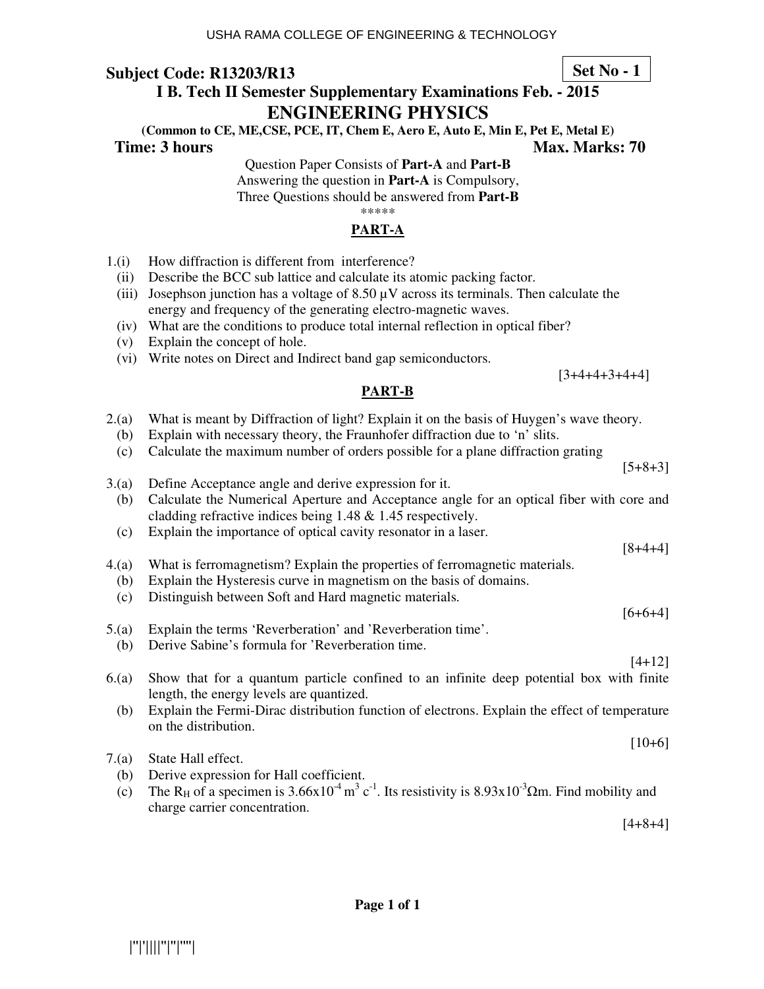# **I B. Tech II Semester Supplementary Examinations Feb. - 2015**

# **ENGINEERING PHYSICS**

**(Common to CE, ME,CSE, PCE, IT, Chem E, Aero E, Auto E, Min E, Pet E, Metal E) Time: 3 hours Max. Marks: 70 Max. Marks: 70** 

Question Paper Consists of **Part-A** and **Part-B**

Answering the question in **Part-A** is Compulsory,

Three Questions should be answered from **Part-B**

\*\*\*\*\*

# **PART-A**

- 1.(i) How diffraction is different from interference?
- (ii) Describe the BCC sub lattice and calculate its atomic packing factor.
- (iii) Josephson junction has a voltage of  $8.50 \mu$ V across its terminals. Then calculate the energy and frequency of the generating electro-magnetic waves.
- (iv) What are the conditions to produce total internal reflection in optical fiber?
- (v) Explain the concept of hole.
- (vi) Write notes on Direct and Indirect band gap semiconductors.

## **PART-B**

- 2.(a) What is meant by Diffraction of light? Explain it on the basis of Huygen's wave theory.
	- (b) Explain with necessary theory, the Fraunhofer diffraction due to 'n' slits.
	- (c) Calculate the maximum number of orders possible for a plane diffraction grating
- 3.(a) Define Acceptance angle and derive expression for it.
	- (b) Calculate the Numerical Aperture and Acceptance angle for an optical fiber with core and cladding refractive indices being 1.48 & 1.45 respectively.
	- (c) Explain the importance of optical cavity resonator in a laser.
- 4.(a) What is ferromagnetism? Explain the properties of ferromagnetic materials.
	- (b) Explain the Hysteresis curve in magnetism on the basis of domains.
	- (c) Distinguish between Soft and Hard magnetic materials.
- 5.(a) Explain the terms 'Reverberation' and 'Reverberation time'.
- (b) Derive Sabine's formula for 'Reverberation time.
- [4+12] 6.(a) Show that for a quantum particle confined to an infinite deep potential box with finite
- length, the energy levels are quantized. (b) Explain the Fermi-Dirac distribution function of electrons. Explain the effect of temperature on the distribution.
- 7.(a) State Hall effect.
	- (b) Derive expression for Hall coefficient.
- (c) The R<sub>H</sub> of a specimen is  $3.66 \times 10^{-4}$  m<sup>3</sup> c<sup>-1</sup>. Its resistivity is  $8.93 \times 10^{-3}$  Qm. Find mobility and charge carrier concentration.

[4+8+4]

 $[10+6]$ 

## **Set No - 1**

 $[3+4+4+3+4+4]$ 

[8+4+4]

 $[6+6+4]$ 

 $[5+8+3]$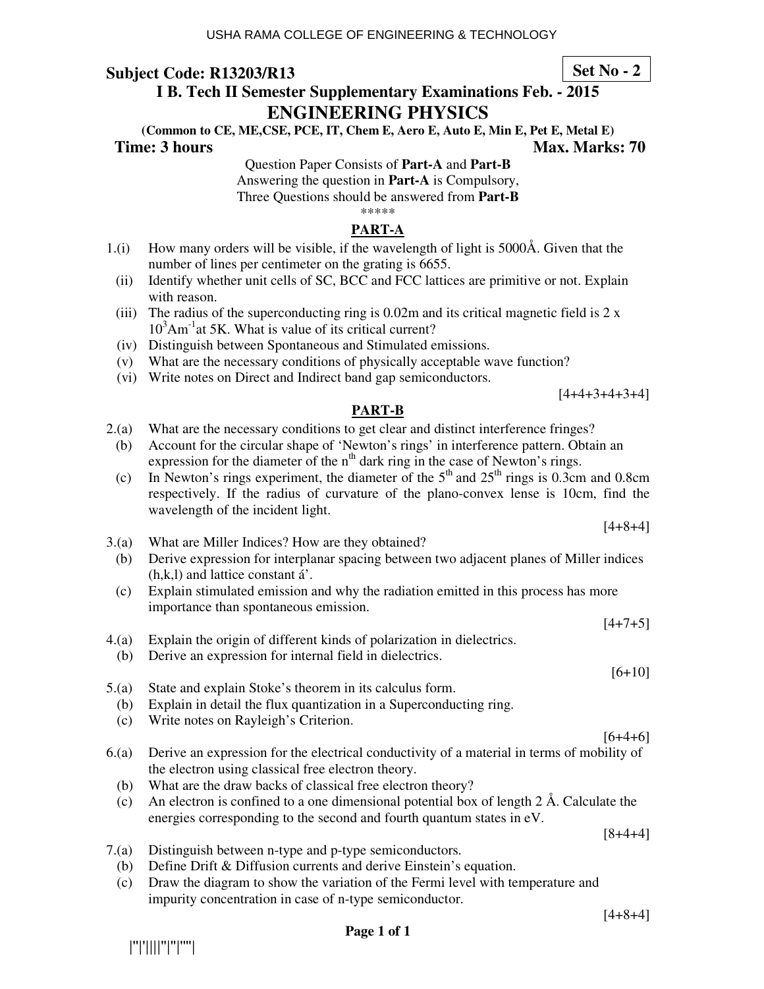# **I B. Tech II Semester Supplementary Examinations Feb. - 2015 ENGINEERING PHYSICS**

**(Common to CE, ME,CSE, PCE, IT, Chem E, Aero E, Auto E, Min E, Pet E, Metal E) Time: 3 hours Max. Marks: 70 Max. Marks: 70** 

Question Paper Consists of **Part-A** and **Part-B**

Answering the question in **Part-A** is Compulsory,

Three Questions should be answered from **Part-B**

\*\*\*\*\*

## **PART-A**

- 1.(i) How many orders will be visible, if the wavelength of light is 5000Å. Given that the number of lines per centimeter on the grating is 6655.
- (ii) Identify whether unit cells of SC, BCC and FCC lattices are primitive or not. Explain with reason.
- (iii) The radius of the superconducting ring is  $0.02$ m and its critical magnetic field is  $2 \times$  $10<sup>3</sup>Am<sup>-1</sup>$ at 5K. What is value of its critical current?
- (iv) Distinguish between Spontaneous and Stimulated emissions.
- (v) What are the necessary conditions of physically acceptable wave function?
- (vi) Write notes on Direct and Indirect band gap semiconductors.

## **PART-B**

- 2.(a) What are the necessary conditions to get clear and distinct interference fringes?
	- (b) Account for the circular shape of 'Newton's rings' in interference pattern. Obtain an expression for the diameter of the  $n<sup>th</sup>$  dark ring in the case of Newton's rings.
	- (c) In Newton's rings experiment, the diameter of the  $5<sup>th</sup>$  and  $25<sup>th</sup>$  rings is 0.3cm and 0.8cm respectively. If the radius of curvature of the plano-convex lense is 10cm, find the wavelength of the incident light.
- 3.(a) What are Miller Indices? How are they obtained?
	- (b) Derive expression for interplanar spacing between two adjacent planes of Miller indices (h,k,l) and lattice constant á'.
	- (c) Explain stimulated emission and why the radiation emitted in this process has more importance than spontaneous emission.
- 4.(a) Explain the origin of different kinds of polarization in dielectrics.
	- (b) Derive an expression for internal field in dielectrics.
- 5.(a) State and explain Stoke's theorem in its calculus form.
	- (b) Explain in detail the flux quantization in a Superconducting ring.
	- (c) Write notes on Rayleigh's Criterion.

|''|'||||''|''|''''|

- 6.(a) Derive an expression for the electrical conductivity of a material in terms of mobility of the electron using classical free electron theory.
	- (b) What are the draw backs of classical free electron theory?
	- (c)An electron is confined to a one dimensional potential box of length 2 Å. Calculate the energies corresponding to the second and fourth quantum states in eV.

[8+4+4]

[4+8+4]

- 7.(a) Distinguish between n-type and p-type semiconductors.
	- (b) Define Drift & Diffusion currents and derive Einstein's equation.
	- (c) Draw the diagram to show the variation of the Fermi level with temperature and impurity concentration in case of n-type semiconductor.

**Page 1 of 1** 



 $[6+4+6]$ 

 $[4+7+5]$ 

[6+10]



**Set No - 2**

[4+8+4]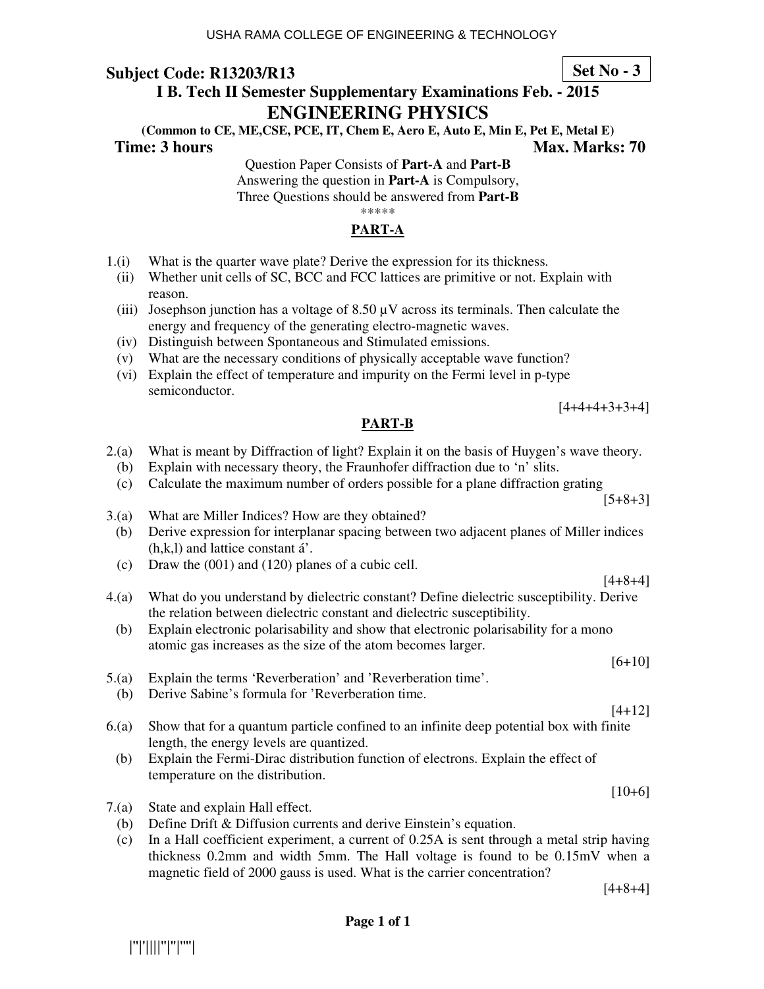# **I B. Tech II Semester Supplementary Examinations Feb. - 2015 ENGINEERING PHYSICS**

**(Common to CE, ME,CSE, PCE, IT, Chem E, Aero E, Auto E, Min E, Pet E, Metal E) Time: 3 hours Max. Marks: 70 Max. Marks: 70** 

Question Paper Consists of **Part-A** and **Part-B** Answering the question in **Part-A** is Compulsory, Three Questions should be answered from **Part-B**

\*\*\*\*\*

# **PART-A**

- 1.(i) What is the quarter wave plate? Derive the expression for its thickness.
	- (ii) Whether unit cells of SC, BCC and FCC lattices are primitive or not. Explain with reason.
	- (iii) Josephson junction has a voltage of  $8.50 \mu V$  across its terminals. Then calculate the energy and frequency of the generating electro-magnetic waves.
	- (iv) Distinguish between Spontaneous and Stimulated emissions.
	- (v) What are the necessary conditions of physically acceptable wave function?
	- (vi) Explain the effect of temperature and impurity on the Fermi level in p-type semiconductor.

## **PART-B**

- 2.(a) What is meant by Diffraction of light? Explain it on the basis of Huygen's wave theory.
	- (b) Explain with necessary theory, the Fraunhofer diffraction due to 'n' slits.
	- (c) Calculate the maximum number of orders possible for a plane diffraction grating
- 3.(a) What are Miller Indices? How are they obtained?
	- (b) Derive expression for interplanar spacing between two adjacent planes of Miller indices (h,k,l) and lattice constant á'.
	- (c) Draw the (001) and (120) planes of a cubic cell.
- 4.(a) What do you understand by dielectric constant? Define dielectric susceptibility. Derive the relation between dielectric constant and dielectric susceptibility.
	- (b) Explain electronic polarisability and show that electronic polarisability for a mono atomic gas increases as the size of the atom becomes larger.
- 5.(a) Explain the terms 'Reverberation' and 'Reverberation time'. (b) Derive Sabine's formula for 'Reverberation time.
- 6.(a) Show that for a quantum particle confined to an infinite deep potential box with finite
	- length, the energy levels are quantized. (b) Explain the Fermi-Dirac distribution function of electrons. Explain the effect of temperature on the distribution.
- 7.(a) State and explain Hall effect.
	- (b) Define Drift & Diffusion currents and derive Einstein's equation.
	- (c) In a Hall coefficient experiment, a current of 0.25A is sent through a metal strip having thickness 0.2mm and width 5mm. The Hall voltage is found to be 0.15mV when a magnetic field of 2000 gauss is used. What is the carrier concentration?

[4+8+4]

**Set No - 3**

[4+4+4+3+3+4]

[5+8+3]

 $[4+8+4]$ 

[6+10]

 $[4+12]$ 

 $[10+6]$